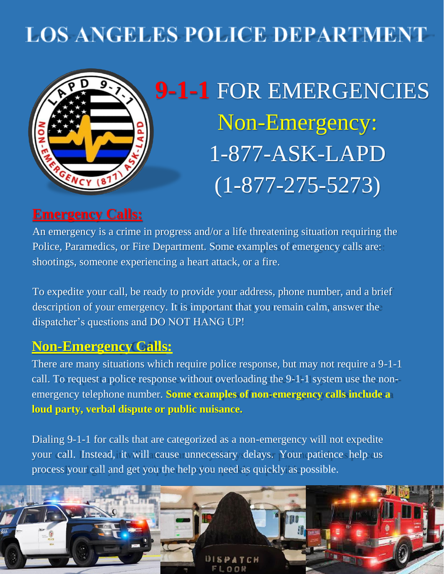# **LOS ANGELES POLICE DEPARTMENT**



**9-1-1** FOR EMERGENCIES Non-Emergency: 1-877-ASK-LAPD  $(1 - 877 - 275 - 5273)$ 

# **Emergency Calls:**

An emergency is a crime in progress and/or a life threatening situation requiring the Police, Paramedics, or Fire Department. Some examples of emergency calls are: shootings, someone experiencing a heart attack, or a fire.

To expedite your call, be ready to provide your address, phone number, and a brief description of your emergency. It is important that you remain calm, answer the dispatcher's questions and DO NOT HANG UP!

### **Non-Emergency Calls:**

There are many situations which require police response, but may not require a 9-1-1 call. To request a police response without overloading the 9-1-1 system use the nonemergency telephone number. **Some examples of non-emergency calls include a loud party, verbal dispute or public nuisance.**

Dialing 9-1-1 for calls that are categorized as a non-emergency will not expedite your call. Instead, it will cause unnecessary delays. Your patience help us process your call and get you the help you need as quickly as possible.